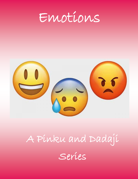Emotions



# A Pinku and Dadaji Series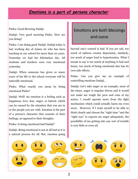## *Emotions is a part of persons character*

Pinku: Good Morning Dadaji.

Dadaji: Very good morning Pinku. How are you doing?

Pinku: I am doing good Dadaji. Dadaji today is last working day of James sir who has been teaching in our school for more than 20 years. Yesterday we had his felicitation day. All students and teachers were very emotional yesterday.

Dadaji: When someone has given so many years of his life to the school everyone will be naturally emotional.

Pinku: What exactly you mean by being emotional Pinku?

Dadaji: Well! An emotion is a feeling such as happiness, love, fear, anger, or hatred, which can be caused by the situation that you are in or the people you are with. Emotion is the part of a person's character that consists of their feelings, as opposed to their thoughts.

Pinku: Is being emotional bad Dadaji?

Dadaji: Being emotional is not at all bad as it is a natural process for all. But, emotion going

## Emotions are both blessings and curse

beyond one's control is bad. If you are sad, too much of sadness creates depression, similarly, too much of anger lead to hypertension. What I meant to say is too much of anything is bad and hence, too much of being emotional also has its own side effects.

Pinku: Can you give me an example of controlling emotions Dadaji…

Dadaji: Let's take anger as an example, most of the times, anger is impulse driven and it would not make me weigh the pros and cons of my action. I would operate more from the fight mechanism which could actually harm me even more. However, if I train myself to be able to think clearly and choose the "right time "and the "right way" to express my anger adequately, the possibility of me getting into any sort of trouble is very little or even nil.

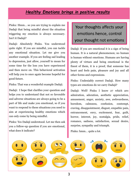## *Healthy Emotions brings in positive results*

Pinku: Hmm… so you are trying to explain me Dadaji that being mindful about the situation triggering my emotion is always necessary. Isn't it Dadaji?

Dadaji: Absolutely Pinku. You understood quite right. If you are mindful, you can tackle any emotional situation. Let me give you another example. If you are feeling sad leading to depression, just allow, yourself to moan for some time for the loss you have experienced and then move on. This behavioral activation will help you to once again become hopeful for good future.

Pinku: That was a wonderful example Dadaji.

Dadaji: I hope that clarifies your question and helps you to understand that not so favorable and adverse situations are always going to be a part of life and make you emotional, so if you want to respond to these situations you need to aim at experiencing healthy emotions which can only come by being mindful.

Pinku: Yes Dadaji understood. Let me then ask you a follow-up question if you are emotional, what does it indicate?

# Your thoughts affects your emotions hence, control your thought not emotions

Dadaji: If you are emotional it is a sign of being human. It is a natural phenomenon; no human is human without emotions. Humans are having plenty of virtues and being emotional is the finest of them, it is a proof, that someone has heart and feels pain, pleasure and joy and all other forms and expressions.

Pinku: Undeniably correct Dadaji. How many types are emotions do we carry Dadaji?

Dadaji: Well! Pinku I know 27 which are: admiration, adoration, aesthetic appreciation, amusement, anger, anxiety, awe, awkwardness, boredom, calmness, confusion, contempt, craving, disappointment, disgust, empathic pain, entrancement, envy, excitement, fear, guilt, horror, interest, joy, nostalgia, pride, relief, romance, sadness, satisfaction, sexual desire, surprise, sympathy and triumph.

Pinku: hmm… quite a lot.

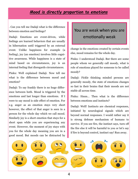#### *Mood is directly proportion to emotions*

. Can you tell me Dadaji what is the difference between emotion and feelings?

Dadaji: Emotions are event-driven, while feelings are learned behaviors that are usually in hibernation until triggered by an external event. Unlike happiness for example (a feeling), joy (an emotion) involves little cognitive awareness. While happiness is a state of mind based on circumstances, joy is an internal feeling that disregards circumstances.

Pinku: Well explained Dadaji. Now tell me what is the difference between mood and emotion?

Dadaji: To say frankly there is no huge difference between both. Mood is triggered by the emotions and last longer than emotions. If I were to say mood is side effect of emotion. For e.g. anger as an emotion stays very short however, the effect of that anger is seen in a person for the whole day which we call mood. Similarly joy is a short emotion that stays for a short span while you are experiencing any event. However, the moment of joy stays with you for the whole day meaning you are in a good mood. But moods can be distracted by

## You are weak when you are emotionally weak

change in the emotions created by certain events else, mood remains for the whole day.

Pinku: I understood Dadaji. But there are some people whom we generally call moody, what is role of emotions played for someone to be called moody?

Dadaji: Fickle thinking minded persons are generally moody, the state of emotions changes so fast in their brains that their moods are not stable all across time.

Pinku: Hmm… Then what is the difference between emotions and instincts?

Dadaji: Well! Instincts are chemical responses, initiated by neurological signals which are beyond normal responses. I would rather say it is strong defense mechanism of humans to survive. If you see fire, the instinct says, turn off the fire else it will be harmful to you or let's say if fire is beyond control, instinct say! Run away.

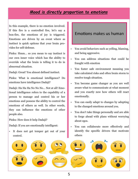#### *Mood is directly proportion to emotions*

In this example, there is no emotion involved. If this fire is a controlled fire, let's say a bon-fire, the emotions of joy is triggered. Emotions are driven by an event where as instinct is quick options that your brain provides for self-defense.

Pinku: Hmm… so you mean to say instinct is our own inner voice which has the ability to override what the brain is telling it to do in abnormal situation.

Dadaji: Great! You almost defined instinct.

Pinku: What is emotional intelligence? Do emotions have intelligence Dadaji?

Dadaji: Ha Ha Ha No No No… Not at all! Emotional intelligence refers to the capability of a person to manage and control his or her emotions and possess the ability to control the emotions of others as well. In other words, they can influence the emotions of other people also.

Pinku: How does it help Dadaji?

Dadaji: If you are emotionally intelligent:

 It does not get temper get out of your control.

#### Emotions makes us human

- You avoid behaviors such as yelling, blaming, and being aggressive.
- You can address situations that could be fraught with emotion
- You foster safe environment meaning you take calculated risks and often brain storm to resolve tough situation.
- You become game changer as you are well aware what to communicate at what moment and you exactly now how others will react emotionally.
- You can easily adapt to changes by adopting to the changed emotions around you.
- You don't take things personally and are able to forge ahead with plans without worrying about egos.
- You can collaborate more effectively and identify the specific drivers that motivate others

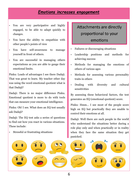#### *Emotions increases engagement*

- You are very participative and highly engaged, to be able to adapt quickly to changes.
- You have the ability to empathize with other people's points of view
- You have self-awareness to manage yourself in front of others.
- You are successful in managing others expectations as you are able to gauge their emotional limits.

Pinku: Loads of advantages I see there Dadaji. That was great to learn. My teacher other day was using the word emotional quotient what is that Dadaji?

Dadaji: There is no major difference Pinku. Emotional quotient is more to do with tools that can measure your emotional intelligence.

Pinku: Oh! I see. What does an EQ test usually ask Dadaji?

Dadaji: The EQ test asks a series of questions to find out how you react in various situations. These include:

Stressful or frustrating situations

## Attachments are directly proportional to your emotions

- Failures or discouraging situations
- Leadership positions and methods for achieving success
- Methods for managing the emotions of others of various ages
- Methods for assessing various personality traits in others
- Dealing with diversity and cultural sensitivities

By assessing these behavioral factors, the test generates an EQ (emotional quotient) score.

Pinku: Hmm… I see most of the people score high on EQ but practically they are unable to control their emotions at all.

Dadaji: Well there are such people in the world who understand the situations better during a role play only and when practically or in reality when they face the same situation they get panicked.

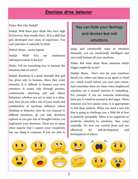#### *Emotions drive behavior*

Pinku: But, why Dadaji?

Dadaji: Well these guys think they have high EI however, they usually don't. EI is a skill that gets developed over years of experience. You can't just have it naturally by birth.

PinkuL Hmm… seems logical.

Dadaji: Well! You see continuous self-improvement is the key!

Pinku: Tell me something how to harness the emotions that we carry?

Dadaji: Emotions is a great strength that god has given only to humans. Since they come instantly, it is difficult to harness your own emotions. It comes only through practice, continuously observing self and others behaviors, whether you act or react to a situation, how do you with a mix of your words and combination of emotions influence others thinking or behavior, how do you respond to difficult situations, do you take decisions upfront or you give lots of thoughts before you implement your decisions. There are so many other aspects that I cannot cover completely but one thing is common, if you are able to

# You can hide your feelings and desires but not emotions

judge and emotionally react as situation demands, you are emotionally intelligent and you could harness all your emotions.

Pinku: But what about those emotions which trigger negativity in me?

Dadaji: Hmm… Don't ever let your emotions derail you, rather use them as an agent or bond 007 which would inform you your next action. And remember there are times when heightened emotions are a normal reaction to something. For example, if you see someone mistreating their pet, it would be normal to feel anger. When someone you love passes away, it is appropriate to feel deep sadness. When you start a new job that is going to challenge you, a little bit of fear is perfectly acceptable. There is no negativity or positivity attached to emotions, they come naturally. It's how you control them and use effectively for self-development and development of others.

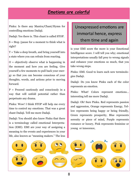#### *Emotions are colorful*

Pinku: Is there any Mantra/Chant/Hymn for controlling emotions Dadaji.

Dadaji: Yes there is. This chant is called STOP.

 $S = Stop$  /pause for a moment to think what is right?

 $T =$  Take a deep breath, and bring yourself into a state where you can refrain from reacting.

 $O =$  objectively observe what is happening in the moment and how you are feeling. Give yourself a few moments to pull back your energy so that you can become conscious of your thoughts, words, and actions prior to moving forward.

 $P =$  Proceed cautiously and consciously in a way that will unfold potential rather than perpetuate any drama.

Pinku: Wow! I think STOP will help me every time to control my emotions. That was a great chant Dadaji. Tell me more Dadaji.

Dadaji: You should also know Pinku that there is a terminology called emotional Interpretation (EMI). EMI are your way of assigning a meaning to the events and experiences in your life, also known as "meaning makers." The less

# Unexpressed emotions are immortal hence, express them time and again

is your EMI score the more is your Emotional Intelligence score. I will tell you why; emotional interpretations usually fall prey to wrong signals and enhance your emotions so much, that you take wrong steps.

Pinku: EMI. Good to learn such new terminologies Dadaji.

Dadaji: Do you know Pinku each of the color represents an emotion.

Pinku: What! Colors represent emotions… interesting tell me more Dadaji.

Dadaji: Oh! Sure Pinku. Red represents passion and aggression, Orange represents Energy, Yellow represents being happy or being friendly, Green represents prosperity, Blue represents serenity or piece of mind, Purple represents romance or luxury, Pink represents feminine or young or innocence,

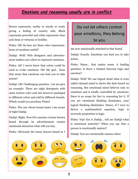## *Emotions and reasoning usually are in conflict*

Brown represents, earthy or sturdy or rustic giving a feeling of country side, Black represents powerful and white represents clear and clean or virtuous or healthy.

Pinku: Oh! So how are these color representations of emotions useful?

Dadaji: Well! Web designers and advertisement makers use colors to represent emotions.

Pinku: Ah! I never knew that colors could be used to evoke emotions. Oh! My god… Does that mean that emotions can lead you to take action?

Dadaji: Ok! Challenging question…Let me give an example: There are eight detergents with same texture color and size however packaged in different colors and sold by different brands. Which would you purchase Pinku?

Pinku: The one whose brand name I am aware of right Dadaji.

Dadaji: Right. Now let's assume a lesser known brand through its advertisement creates emotional attraction what will you buy.

Pinku: Obviously the lesser known brand as I

## Do not let others control your emotions, they belong to you

am now emotionally attached to that brand.

Dadaji: Exactly. Emotions can lead you to take action.

Pinku: Hmm… that makes sense. A leading question: Is there a relation between logic and emotion?

Dadaji: Well! We use logical mind what is even called rational mind to derive the facts based on reasoning. But emotional mind believes only in emotions and is totally controlled by emotions; there is no scope for fact or reasoning for it. If you are emotional thinking dominates, your logical thinking diminishes. Hence, if I were to derive a mathematical equation, logic is inversely proportion to logic.

Pinku: Yep! Got it Dadaji… tell me Dadaji what is emotional maturity? When you say that a person is emotionally mature?

Dadaji: You are emotionally mature when:

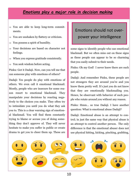## *Emotions play a major role in decision making*

- $\Rightarrow$  You are able to keep long-term commitments.
- $\Rightarrow$  You are unshaken by flattery or criticism.
- $\Rightarrow$  You possess a spirit of humility.
- $\Rightarrow$  Your decisions are based on character not feelings.
- When you express gratitude consistently.
- $\Rightarrow$  You seek wisdom before acting.

Pinku: Got it Dadaji. Now, can you tell me that can someone play with emotions of others?

Dadaji: Yes people do play with emotions of others. We even call it emotional blackmail. Mostly, people who are insecure for some reason resort to emotional blackmail. They manipulate your decisions by reacting negatively to the choices you make. They often try to intimidate you until you do what they ask you to. This is a clear warning sign of emotional blackmail. You will find them constantly trying to blame or accuse you of doing something they don't approve of. They will never hesitate to make you suffer in public or create drama to get you to cheer them up. These are

## Emotions should not overpower your intelligence

some signs to identify people who use emotional blackmail. But we often miss out on these signs as these people can appear to be so charming that you easily submit to their needs.

Pinku: Oh my God! I never knew there are such people.

Dadaji: And remember Pinku, these people are not strangers they are around you're and you know them pretty well. It's just you do not know that they are emotionally blackmailing you. Hence, be observant with behavior of such people who rotate around you without any reason.

Pinku: Hmm… so true Dadaji. I have another question: What is emotional abuse Dadaji?

Dadaji: Emotional abuse is an attempt to control; in just the same way that physical abuse is an attempt to control another person. The only difference is that the emotional abuser does not use physical hitting, kicking, pinching, grabbing,